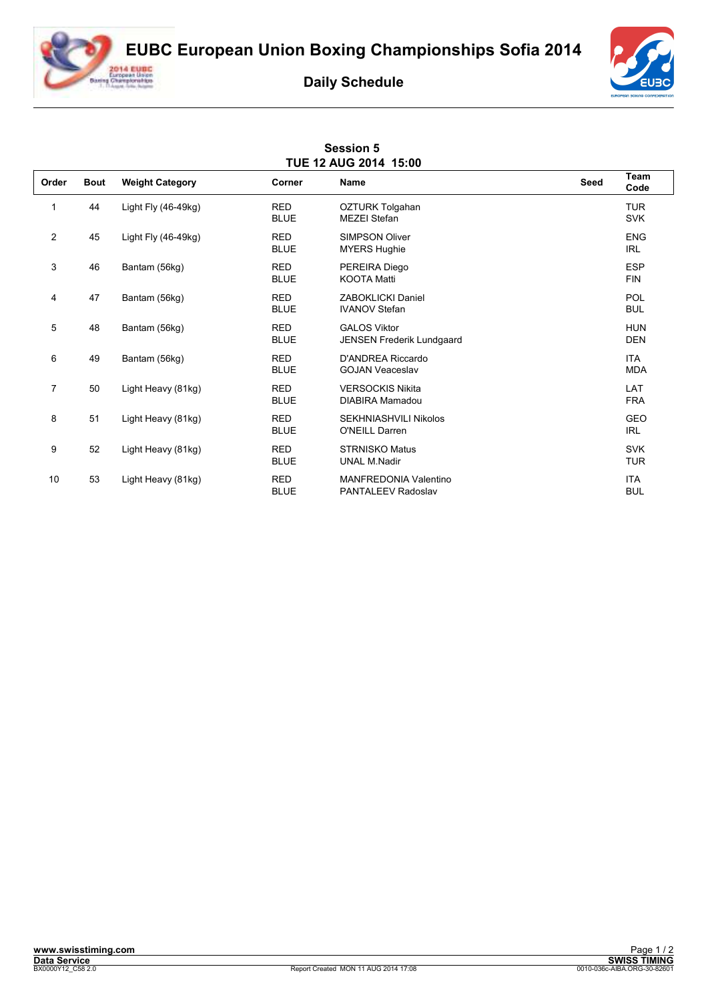**EUBC European Union Boxing Championships Sofia 2014**



## **Daily Schedule**

**Session 5** 



| TUE 12 AUG 2014 15:00 |             |                        |                           |                                                           |      |                          |  |  |  |
|-----------------------|-------------|------------------------|---------------------------|-----------------------------------------------------------|------|--------------------------|--|--|--|
| Order                 | <b>Bout</b> | <b>Weight Category</b> | Corner                    | <b>Name</b>                                               | Seed | Team<br>Code             |  |  |  |
| 1                     | 44          | Light Fly $(46-49kg)$  | <b>RED</b><br><b>BLUE</b> | OZTURK Tolgahan<br><b>MEZEI Stefan</b>                    |      | <b>TUR</b><br><b>SVK</b> |  |  |  |
| 2                     | 45          | Light Fly $(46-49kg)$  | <b>RED</b><br><b>BLUE</b> | <b>SIMPSON Oliver</b><br><b>MYERS Hughie</b>              |      | <b>ENG</b><br><b>IRL</b> |  |  |  |
| 3                     | 46          | Bantam (56kg)          | <b>RED</b><br><b>BLUE</b> | PEREIRA Diego<br><b>KOOTA Matti</b>                       |      | <b>ESP</b><br><b>FIN</b> |  |  |  |
| 4                     | 47          | Bantam (56kg)          | <b>RED</b><br><b>BLUE</b> | <b>ZABOKLICKI Daniel</b><br><b>IVANOV Stefan</b>          |      | POL<br><b>BUL</b>        |  |  |  |
| 5                     | 48          | Bantam (56kg)          | <b>RED</b><br><b>BLUE</b> | <b>GALOS Viktor</b><br><b>JENSEN Frederik Lundgaard</b>   |      | <b>HUN</b><br><b>DEN</b> |  |  |  |
| 6                     | 49          | Bantam (56kg)          | <b>RED</b><br><b>BLUE</b> | D'ANDREA Riccardo<br><b>GOJAN Veaceslav</b>               |      | <b>ITA</b><br><b>MDA</b> |  |  |  |
| $\overline{7}$        | 50          | Light Heavy (81kg)     | <b>RED</b><br><b>BLUE</b> | <b>VERSOCKIS Nikita</b><br>DIABIRA Mamadou                |      | LAT<br><b>FRA</b>        |  |  |  |
| 8                     | 51          | Light Heavy (81kg)     | <b>RED</b><br><b>BLUE</b> | <b>SEKHNIASHVILI Nikolos</b><br><b>O'NEILL Darren</b>     |      | GEO<br><b>IRL</b>        |  |  |  |
| 9                     | 52          | Light Heavy (81kg)     | <b>RED</b><br><b>BLUE</b> | <b>STRNISKO Matus</b><br><b>UNAL M.Nadir</b>              |      | <b>SVK</b><br><b>TUR</b> |  |  |  |
| 10                    | 53          | Light Heavy (81kg)     | <b>RED</b><br><b>BLUE</b> | <b>MANFREDONIA Valentino</b><br><b>PANTALEEV Radoslav</b> |      | <b>ITA</b><br><b>BUL</b> |  |  |  |